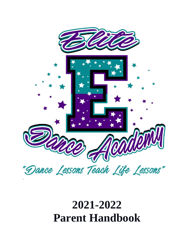

# **2021-2022 Parent Handbook**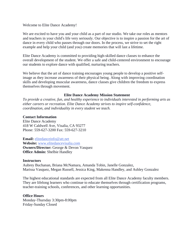## Welcome to Elite Dance Academy!

We are excited to have you and your child as a part of our studio. We take our roles as mentors and teachers in your child's life very seriously. Our objective is to inspire a passion for the art of dance in every child who passes through our doors. In the process, we strive to set the right example and help your child (and you) create memories that will last a lifetime.

Elite Dance Academy is committed to providing high-skilled dance classes to enhance the overall development of the student. We offer a safe and child-centered environment to encourage our students to explore dance with qualified, nurturing teachers.

We believe that the art of dance training encourages young people to develop a positive selfimage as they increase awareness of their physical being. Along with improving coordination skills and developing muscular awareness, dance classes give children the freedom to express themselves through movement.

## **Elite Dance Academy Mission Statement**

*To provide a creative, fun, and healthy experience to individuals interested in performing arts as either careers or recreation. Elite Dance Academy strives to inspire self-confidence, coordination, and individuality in every student we teach.*

## **Contact Information**

Elite Dance Academy 418 W Caldwell Ave, Visalia, CA 93277 Phone: 559-627-3200 Fax: 559-627-3210

### **Email:** [elitedanceinfo@att.net](mailto:elitedanceinfo@att.net)

**Website:** [www.elitedancevisalia.com](http://www.elitedancevisalia.com/) **Owners/Director:** George & Devon Vasquez **Office Admin:** Shelbie Handley

### **Instructors**

Aubrey Buchanan, Briana McNamara, Amanda Tobin, Janelle Gonzalez, Marissa Vasquez, Megan Russell, Jessica King, Makenna Handley, and Ashley Gonzalez

The highest educational standards are expected from all Elite Dance Academy faculty members. They are lifelong learners who continue to educate themselves through certification programs, teacher-training schools, conferences, and other learning opportunities.

## **Office Hours**

Monday-Thursday 3:30pm-8:00pm Friday-Sunday Closed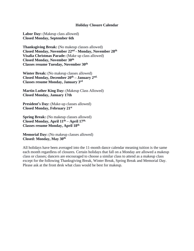## **Holiday Closure Calendar**

**Labor Day:** (Makeup class allowed) **Closed Monday, September 6th**

**Thanksgiving Break:** (No makeup classes allowed) **Closed Monday, November 22 nd - Monday, November 28 th Visalia Christmas Parade:** (Make up class allowed) **Closed Monday, November 30th Classes resume Tuesday, November 30th**

**Winter Break:** (No makeup classes allowed) **Closed Monday, December 20 th – January 2 nd. Classes resume Monday, January 3 rd**

**Martin Luther King Day:** (Makeup Class Allowed) **Closed Monday, January 17th** 

**President's Day:** (Make-up classes allowed) **Closed Monday, February 21st**

**Spring Break:** (No makeup classes allowed) **Closed Monday, April 11th – April 17th. Classes resume Monday, April 18th**

**Memorial Day:** (No makeup classes allowed) **Closed: Monday, May 30 th**

All holidays have been averaged into the 11-month dance calendar meaning tuition is the same each month regardless of closures. Certain holidays that fall on a Monday are allowed a makeup class or classes; dancers are encouraged to choose a similar class to attend as a makeup class except for the following Thanksgiving Break, Winter Break, Spring Break and Memorial Day. Please ask at the front desk what class would be best for makeup.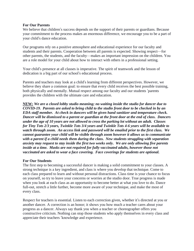## **For Our Parents**

We believe that children's success depends on the support of their parents or guardians. Because your commitment to the process makes an enormous difference, we encourage you to be a part of your child's dance education.

Our programs rely on a positive atmosphere and educational experience for our faculty and students and their parents. Cooperation between all parents is expected. Showing respect—for other parents, the students, and the faculty—makes an important impression on the children. You are a role model for your child about how to interact with others in a professional setting.

Your child's presence at all classes is imperative. The spirit of teamwork and the lesson of dedication is a big part of our school's educational process.

Parents and teachers may look at a child's learning from different perspectives. However, we believe they share a common goal: to ensure that every child receives the best possible training, both physically and mentally. Mutual respect among our faculty and our students 'parents provides the children with the ultimate care and education.

**NEW:** *We are a closed lobby studio meaning; no waiting inside the studio for dancer due to COVID-19. Parents are asked to bring child to the studio front door to be checked in by an EDA staff member. At check in dancers will be given hand sanitizer and temperature check. Dancer will be dismissed to a parent or guardian at the front door at the end of class. Dancers under the age of 10 years are not allowed to cross the parking lot without an adult. Classes for Tiny Tots 2/3 years, Twinkle Tots 3/4 years and Twinkle Tots 4-6 years will be available to watch through zoom. An access link and password will be emailed prior to the first class. We cannot guarantee your child will be visible through zoom however it allows us to communicate with a parent if a child needs them during the class. New students struggling with separation anxiety may request to stay inside the first two weeks only. We are only allowing five parents inside at a time. Masks are not required for fully vaccinated adults, however those not vaccinated are asked to wear a face covering. Face coverings for students are optional.*

## **For Our Students**

The first step to becoming a successful dancer is making a solid commitment to your classes. A strong technique is a key ingredient, and class is where you develop that technique. Come to each class prepared to learn and without personal distractions. Class time is your chance to focus on yourself, so try to leave your concerns or worries at the studio door. True progress is made when you look at each class as an opportunity to become better at what you love to do. Dance full-out, stretch a little further, become more aware of your technique, and make the most of every class.

Respect for teachers is essential. Listen to each correction given, whether it's directed at you or another dancer. A correction is an honor; it shows you how much a teacher cares about your progress as a dancer. Always say thank you when a teacher or choreographer offers you constructive criticism. Nothing can stop those students who apply themselves in every class and appreciate their teachers 'knowledge and experience.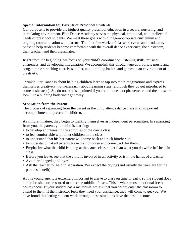## **Special Information for Parents of Preschool Students**

Our purpose is to provide the highest quality preschool education in a secure, nurturing, and stimulating environment. Elite Dance Academy serves the physical, emotional, and intellectual needs of preschool students. We meet these goals with our age-appropriate curriculum and ongoing communication with parents. The first few weeks of classes serve as an introductory phase to help students become comfortable with the overall dance experience, the classroom, their teacher, and their classmates.

Right from the beginning, we focus on your child's coordination, listening skills, musical awareness, and developing imagination. We accomplish this through age-appropriate music and song, simple stretching exercises, ballet, and tumbling basics, and games in an environment of creativity.

Twinkle Star Dance is about helping children learn to tap into their imaginations and express themselves creatively, not necessarily about learning steps (although they do get introduced to some basic steps). So, do not be disappointed if your child does not pirouette around the house or look like a budding ballerina right away.

## **Separation from the Parent**

The process of separating from the parent as the child attends dance class is an important accomplishment of preschool children.

As children mature, they begin to identify themselves as independent personalities. In separating from you, the parent, your child is learning:

- to develop an interest in the activities of the dance class.
- to feel comfortable with other children in the class.
- to understand that his/her parent will come back and pick him/her up.
- to understand that all parents leave their children and come back for them.:
- Emphasize what the child is doing at the dance class rather than what you do while he/she is in class.
- Before you leave, see that the child is involved in an activity or is in the hands of a teacher.
- Avoid prolonged good-byes.
- Ask the teacher for help in separation. We expect the crying (and usually the tears are for the parent's benefit).

At this young age, it is extremely important to arrive to class on time or early, so the student does not feel rushed or pressured to enter the middle of class. This is where most emotional break downs occur. If your student has a meltdown, we ask that you do not enter the classroom to attend to them. If the instructor feels they need your assistance, they will come to get you. We have found that letting student work through these situations have the best outcome.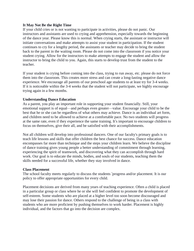# **It May Not Be the Right Time**

If your child cries or is not wanting to participate in activities, please do not panic. Our instructors and assistants are used to crying and apprehension, especially towards the beginning of the dance year. Please know this is normal. When crying starts, the assistant or instructor will initiate conversations and make attempts to assist your student in participation. If the student continues to cry for a lengthy period, the assistants or teacher may decide to bring the student back to the parent in the waiting room. Please do not come into the classroom if you notice your student crying. Allow for the instructors to make attempts to engage the student and allow the instructor to bring the child to you. Again, this starts to develop trust from the student to the teacher.

If your student is crying before coming into the class, trying to run away, etc. please do not force them into the classroom. This creates more stress and can create a long-lasting negative dance experience. We encourage all parents of our preschool age students to at least try for 3-4 weeks. If it is noticeable within the 3-4 weeks that the student will not participate, we highly encourage trying again in a few months.

# **Understanding Dance Education**

As a parent, you play an important role in supporting your student financially. Still, your emotional support is of equal—and perhaps even greater—value. Encourage your child to be the best that he or she can be regardless of what others may achieve. Dance is an individual art form, and children need to be allowed to achieve at a comfortable pace. No two students will progress at the same rate, even if they experience the same training. It's important to encourage children to focus on themselves, give their all, and be satisfied with their accomplishments.

Not all children will develop into professional dancers. One of our faculty's primary goals is to teach life lessons and skills that offer children the best chance for success. Dance education encompasses far more than technique and the steps your children learn. We believe the discipline of dance training gives young people a better understanding of commitment through learning, experiencing the spirit of teamwork, and discovering what they can accomplish through hard work. Our goal is to educate the minds, bodies, and souls of our students, teaching them the skills needed for a successful life, whether they stay involved in dance.

## **Class Placement**

The school faculty meets regularly to discuss the students 'progress and/or placement. It is our policy to offer appropriate opportunities for every child.

Placement decisions are derived from many years of teaching experience. Often a child is placed in a particular group or class where he or she will feel confident to promote the development of self-esteem. Some students who are placed at a higher level too soon become discouraged and may lose their passion for dance. Others respond to the challenge of being in a class with students who are more proficient by pushing themselves to work harder. Placement is highly individual, and the factors that go into the decision are complex.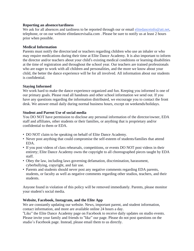## **Reporting an absence/tardiness**

We ask for all absences and tardiness to be reported through our or email [elitedanceinfo@att.net,](mailto:elitedanceinfo@att.net) telephone, or on our website elitedancevisalia.com . Please be sure to notify us at least 2 hours prior when possible.

# **Medical Information**

Parents must notify the director/and or teachers regarding children who use an inhaler or who may require medications during their time at Elite Dance Academy. It is also important to inform the director and/or teachers about your child's existing medical conditions or learning disabilities at the time of registration and throughout the school year. Our teachers are trained professionals who are eager to work with all children and personalities, and the more we know about your child, the better the dance experience will be for all involved. All information about our students is confidential.

# **Staying Informed**

We work hard to make the dance experience organized and fun. Keeping you informed is one of our primary goals. Please read all handouts and other school information we send out. If you have any questions regarding the information distributed, we encourage you to contact the front desk. We answer email daily during normal business hours, except on weekends/holidays.

# **Student and Parent Use of social media**

You DO NOT have permission to disclose any personal information of the director/owner, EDA staff and affiliates, other students or their families, or anything that is proprietary and/or confidential to them or EDA.

- DO NOT claim to be speaking on behalf of Elite Dance Academy.
- Never post anything that could compromise the self-esteem of students/families that attend EDA.
- If you post videos of class rehearsals, competitions, or events DO NOT post videos in their entirety; Elite Dance Academy owns the copyright to all choreographed pieces taught by EDA staff.
- Obey the law, including laws governing defamation, discrimination, harassment, cyberbullying, copyright, and fair use.
- Parents and students should never post any negative comments regarding EDA parents, students, or faculty as well as negative comments regarding other studios, teachers, and their students.

Anyone found in violation of this policy will be removed immediately. Parents, please monitor your student's social media.

# **Website, Facebook, Instagram, and the Elite App**

We are constantly updating our website. News, important parent, and student information, contact information, and more are available online 24 hours a day.

"Like" the Elite Dance Academy page on Facebook to receive daily updates on studio events. Please invite your family and friends to "like" our page. Please do not post questions on the studio's Facebook page. Instead, please email them to us directly.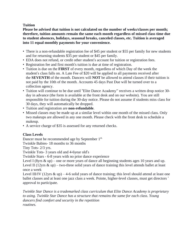# **Tuition**

**Please be advised that tuition is not calculated on the number of weeks/classes per month; therefore, tuition amounts remain the same each month regardless of missed class time due to student absences, holidays, seasonal breaks, canceled classes, etc. Tuition is averaged into 11 equal monthly payments for your convenience.** 

- There is a non-refundable registration fee of \$45 per student or \$55 per family for new students and for returning students \$35 per student or \$45 per family.
- EDA does not refund, or credit other student's account for tuition or registration fees.
- Registration fee and first month's tuition is due at time of registration.
- Tuition is due on the **FIRST** of every month, regardless of which Day of the week the student's class falls on. A Late Fee of \$20 will be applied to all payments received after the **SEVENTH** of the month. Dancers will **NOT** be allowed to attend classes if their tuition is not paid by the 10th of the month. Accounts 45 days Past Due will be turned over to a collection agency.
- Tuition will continue to be due until "Elite Dance Academy" receives a written drop notice 30 day in advance (the form is available at the front desk and on our website). You are still responsible for tuition during the 30-day notice. Please do not assume if students miss class for 30 days, they will automatically be dropped.
- Tuition and registration are **non-refundable**.
- Missed classes may be made up at a similar level within one month of the missed class. Only two makeups are allowed in any one month. Please check with the front desk to schedule a makeup.
- A service charge of \$35 is assessed for any returned checks.

# **Class Levels**

Dancer must be recommended age by September 1<sup>st.</sup>

Twinkle Babies- 18 months to 36 months

Tiny Tots- 2/3 yrs.

Twinkle Tots- 3 years old and 4-6year old's

Twinkle Stars - 6-8 years with no prior dance experience

Level I (8yrs  $\&$  up) – one or more years of dance all beginning students ages 10 years and up. Level II (12yrs  $\&$  up) – two-three solid years of dance training this level attends ballet at least once a week

Level III/IV (12yrs  $\&$  up) – 4-6 solid years of dance training; this level should attend at least one ballet classes and at least one jazz class a week. Pointe, higher-level classes, must get directors ' approval to participate.

*Twinkle Star Dance is a trademarked class curriculum that Elite Dance Academy is proprietary to using. Twinkle Star Dance has a structure that remains the same for each class. Young dancers find comfort and security in the repetition routines.*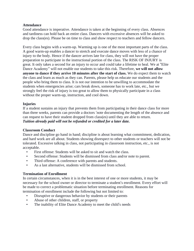# **Attendance**

Good attendance is imperative. Attendance is taken at the beginning of every class. Absences and tardiness can hold back an entire class. Dancers with excessive absences will be asked to drop the class(es). Please be on time to class and show respect to teachers and fellow dancers.

Every class begins with a warm-up. Warming up is one of the most important parts of the class. A good warm-up enables a dancer to stretch and execute dance moves with less of a chance of injury to the body. Hence if the dancer arrives late for class, they will not have the proper preparation to participate in the instructional portion of the class. The RISK OF INJURY is great. It only takes a second for an injury to occur and could take a lifetime to heal. We at "Elite Dance Academy" will not enable our students to take this risk. Therefore, **we will not allow anyone to dance if they arrive 10 minutes after the start of class.** We do expect them to watch the class and learn as much as they can. Parents, please help us educate our students and the people who bring them to class. It is not our intention to be unwilling to accommodate the students when emergencies arise; cars break down, someone has to work late, etc., but we strongly feel the risk of injury is too great to allow them to physically participate in a class without the proper warm-up, instruction, and cool down.

# **Injuries**

If a student sustains an injury that prevents them from participating in their dance class for more than three weeks, parents can provide a doctors 'note documenting the length of the absence and can request to have their student dropped from class(es) until they are able to return. *Tuition already paid will not be refunded or credited for a later date.*

## **Classroom Conduct**

Dance and discipline go hand in hand; discipline is about learning what commitment, dedication, and hard work are all about. Students showing disrespect to other students or teachers will not be tolerated. Excessive talking in class, not participating in classroom instruction, etc., is not acceptable.

- First offense: Students will be asked to sit and watch the class.
- Second offense: Students will be dismissed from class and/or note to parent.
- Third offense: A conference with parents and students.
- As a last alternative, students will be dismissed from school.

## **Termination of Enrollment**

In certain circumstances, when it is in the best interest of one or more students, it may be necessary for the school owner or director to terminate a student's enrollment. Every effort will be made to correct a problematic situation before terminating enrollment. Reasons for termination of enrollment include the following but not limited to:

- Disruptive or dangerous behavior by students or their parents
- Abuse of other children, staff, or property
- The inability of Elite Dance Academy to meet the child's needs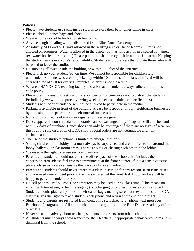# **Policies**

- Please have students use racks inside studios to store their belongings while in class.
- Please label all dance bags and shoes.
- We are not responsible for lost or stolen items.
- Anyone caught stealing will be dismissed from Elite Dance Academy.
- Absolutely NO Food or Drinks allowed in the waiting area or Dance Rooms. Gum is not allowed on-premises. Water is allowed in the dance room as long as it is in a sealed container, (ex. water bottle, thermos, etc.) Please put the trash and recycle it in appropriate areas. Keeping the studio clean is everyone's responsibility. Students and observers that violate these rules will be asked to leave the studio.
- No smoking allowed inside the building or within 500 feet of the entrance.
- Please pick up your student (es) on time. We cannot be responsible for children left unattended. Students who are not picked up within 10 minutes after class dismissal will be charged a fee of \$10 for every 15 minutes 'student is not picked up
- We are a HANDS-ON teaching facility and ask that all students always adhere to our dress code policy.
- Please view classes discreetly and for short periods of time so as not to distract the students. Periodically we will hold parent viewing weeks (check schedule for specific dates).
- Students with poor attendance will not be allowed to participate in the recital.
- Parking is available in front of the building. Please be respectful of our neighboring businesses by not using their spaces during their normal business hours.
- No refunds or credits of tuition or registration fees are given.
- Dance apparel is non-refundable. Leotards can be exchanged only if tags are still attached and within 7 days of purchase. Dance shoes can only be exchanged if there are no signs of wear on; this is at the sole discretion of EDA staff. Special orders are non-refundable and nonexchangeable.
- The use of the studio telephone is limited to emergencies only.
- Young children in the lobby area must always be supervised and are not free to run around the lobby, hallway, or classroom areas. There is no tag or chasing each other in the lobby.
- We reserve the right to refuse service to anyone.
- Parents and students should not enter the office space of the school; this includes the concession area. Please feel free to communicate at the front counter. If it is a sensitive issue, please advise us so we can ensure the privacy of those involved.
- Parents and students should never interrupt a class in session for any reason. If an issue arises and you need your student prior to the class is over, let the front desk know, and we will be happy to get your student for you.
- No cell phones, iPad's, iPod's, or computers may be used during class time. (This means no emailing, Internet use, or text messaging.) No charging of phones in dance rooms allowed. Students should place all phones in their dance bags, making sure that they are on silent. EDA staff reserves the right to take a student's cell phone and return at the end of the night.
- Students and parents are restricted from contacting staff directly by phone, text messages, Facebook, Instagram etc. All communication must go through the Elite Dance Academy office or emails.
- Never speak negatively about teachers, students, or parents from other schools.
- All students must always show respect for their teachers. Inappropriate behavior could result in dismissal from the school.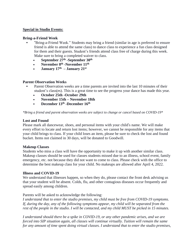## **Special in Studio Events:**

## **Bring-a-Friend Week**

- **•** "Bring-a-Friend Week." Students may bring a friend (similar in age is preferred to ensure friend is able to attend the same class) to dance class to experience a fun class designed for them and their guests. Student's friends attend class free of charge during this week. Make sure to bring a completed waiver to class.
	- **• September 27th -September 30th**
	- **November 8<sup>th</sup> -November 11<sup>th</sup>**
	- **• January 17th – January 21st**

# **Parent Observation Weeks**

- **•** Parent Observation weeks are a time parents are invited into the last 10 minutes of their student's class(es). This is a great time to see the progress your dance has made this year.
	- **• October 25th -October 29th**
	- **• November 15th – November 18th**
	- **• December 13th -December 16th**

*\*Bring a friend and parent observation weeks are subject to change or cancel based on COVID-19\**

# **Lost and Found**

Please mark all dancewear, shoes, and personal items with your child's name. We will make every effort to locate and return lost items; however, we cannot be responsible for any items that your child brings to class. If your child loses an item, please be sure to check the lost and found bucket. Items not claimed in 30 days, will be donated to Goodwill.

## **Makeup Classes**

Students who miss a class will have the opportunity to make it up with another similar class. Makeup classes should be used for classes students missed due to an illness, school event, family emergency, etc. not because they did not want to come to class. Please check with the office to determine the best makeup class for your child. No makeups are allowed after April 4, 2022.

## **Illness and COVID-19**

We understand that illnesses happen, so when they do, please contact the front desk advising us that your student will be absent. Colds, flu, and other contagious diseases occur frequently and spread easily among children.

# Parents will be asked to acknowledge the following:

*I understand that to enter the studio premises, my child must be free from COVID-19 symptoms. If, during the day, any of the following symptoms appear, my child will be separated from the* rest of the people in the studio. I will be contacted, and my child MUST be picked in 15 minutes.

*I understand should there be a spike in COVID-19, or any other pandemic arises, and we are forced into SIP situation again, all classes will continue virtually. Tuition will remain the same for any amount of time spent doing virtual classes. I understand that to enter the studio premises,*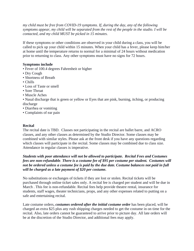*my child must be free from COVID-19 symptoms. If, during the day, any of the following* symptoms appear, my child will be separated from the rest of the people in the studio. I will be *contacted, and my child MUST be picked in 15 minutes.*

If these symptoms or other conditions are observed in your child during a class, you will be called to pick up your child within 15 minutes. When your child has a fever, please keep him/her at home until the temperature returns to normal for a minimal of 24 hours without medication prior to returning to class. Any other symptoms must have no signs for 72 hours.

# **Symptoms include**

- Fever of 100.4 degrees Fahrenheit or higher
- Dry Cough
- Shortness of Breath
- Chills
- Loss of Taste or smell
- Sore Throat
- Muscle Aches
- Nasal discharge that is green or yellow or Eyes that are pink, burning, itching, or producing discharge
- Diarrhea or vomiting
- Complaints of ear pain

# **Recital**

The recital date is TBD. Classes not participating in the recital are ballet barre, and ACRO classes, and any other classes as determined by the Studio Director. Some classes may be combined with similar styles. Please ask at the front desk if you have any questions regarding which classes will participate in the recital. Some classes may be combined due to class size. Attendance in regular classes is imperative.

*Students with poor attendance will not be allowed to participate. Recital Fees and Costumes fees are non-refundable. There is a costume fee of \$95 per costume per student. Costumes will* not be ordered unless a costume fee is paid by the due date. Costume balances not paid in full *will be charged as a late payment of \$20 per costume.*

No substitutions or exchanges of tickets if they are lost or stolen. Recital tickets will be purchased through online ticket sales only. A recital fee is charged per student and will be due in March . This fee is non-refundable. Recital fees help provide theatre rental, insurance for students, staff wages, theater technicians, props, and any other expenses related to putting on a safe and entertaining recital.

Late costume orders, *costumes ordered after the initial costume order* has been placed, will be charged an extra \$25 plus any rush shipping charges needed to get the costume in on time for the recital. Also, late orders cannot be guaranteed to arrive prior to picture day. All late orders will be at the discretion of the Studio Director, and additional fees may apply.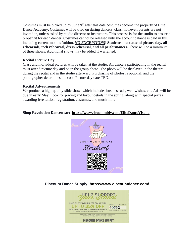Costumes must be picked up by June 9<sup>th</sup> after this date costumes become the property of Elite Dance Academy. Costumes will be tried on during dancers 'class; however, parents are not invited in, unless asked by studio director or instructors. This process is for the studio to ensure a proper fit for each dancer. Costumes cannot be released until the account balance is paid in full, including current months 'tuition. *NO EXCEPTIONS*! **Students must attend picture day, all rehearsals, tech rehearsal, dress rehearsal, and all performances.** There will be a minimum of three shows. Additional shows may be added if warranted.

# **Recital Picture Day**

Class and individual pictures will be taken at the studio. All dancers participating in the recital must attend picture day and be in the group photo. The photo will be displayed in the theatre during the recital and in the studio afterward. Purchasing of photos is optional, and the photographer determines the cost. Picture day date TBD.

## **Recital Advertisements**

We produce a high-quality slide show, which includes business ads, well wishes, etc. Ads will be due in early May. Look for pricing and layout details in the spring, along with special prizes awarding free tuition, registration, costumes, and much more.

# **Shop Revolution Dancewear: <https://www.shopnimbly.com/EliteDanceVisalia>**



**Discount Dance Supply: <https://www.discountdance.com/>**